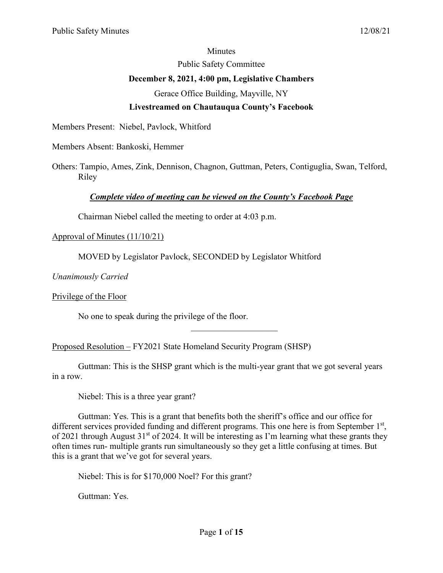#### **Minutes**

Public Safety Committee

### **December 8, 2021, 4:00 pm, Legislative Chambers**

Gerace Office Building, Mayville, NY

# **Livestreamed on Chautauqua County's Facebook**

Members Present: Niebel, Pavlock, Whitford

Members Absent: Bankoski, Hemmer

Others: Tampio, Ames, Zink, Dennison, Chagnon, Guttman, Peters, Contiguglia, Swan, Telford, Riley

# *Complete video of meeting can be viewed on the County's Facebook Page*

Chairman Niebel called the meeting to order at 4:03 p.m.

## Approval of Minutes (11/10/21)

MOVED by Legislator Pavlock, SECONDED by Legislator Whitford

*Unanimously Carried*

Privilege of the Floor

No one to speak during the privilege of the floor.

Proposed Resolution – FY2021 State Homeland Security Program (SHSP)

Guttman: This is the SHSP grant which is the multi-year grant that we got several years in a row.

 $\overline{\phantom{a}}$  . The set of the set of the set of the set of the set of the set of the set of the set of the set of the set of the set of the set of the set of the set of the set of the set of the set of the set of the set o

Niebel: This is a three year grant?

Guttman: Yes. This is a grant that benefits both the sheriff's office and our office for different services provided funding and different programs. This one here is from September 1<sup>st</sup>, of 2021 through August  $31<sup>st</sup>$  of 2024. It will be interesting as I'm learning what these grants they often times run- multiple grants run simultaneously so they get a little confusing at times. But this is a grant that we've got for several years.

Niebel: This is for \$170,000 Noel? For this grant?

Guttman: Yes.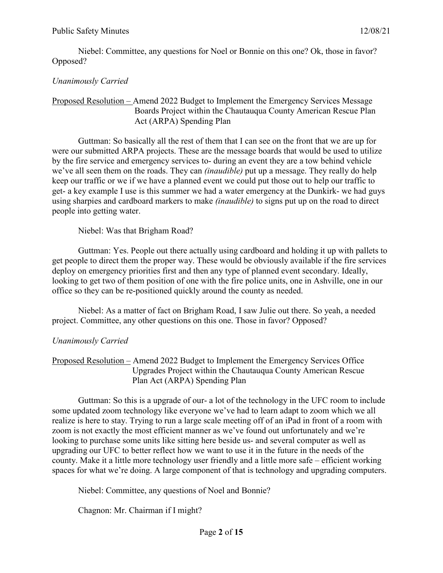Niebel: Committee, any questions for Noel or Bonnie on this one? Ok, those in favor? Opposed?

## *Unanimously Carried*

#### Proposed Resolution – Amend 2022 Budget to Implement the Emergency Services Message Boards Project within the Chautauqua County American Rescue Plan Act (ARPA) Spending Plan

Guttman: So basically all the rest of them that I can see on the front that we are up for were our submitted ARPA projects. These are the message boards that would be used to utilize by the fire service and emergency services to- during an event they are a tow behind vehicle we've all seen them on the roads. They can *(inaudible)* put up a message. They really do help keep our traffic or we if we have a planned event we could put those out to help our traffic to get- a key example I use is this summer we had a water emergency at the Dunkirk- we had guys using sharpies and cardboard markers to make *(inaudible)* to signs put up on the road to direct people into getting water.

Niebel: Was that Brigham Road?

Guttman: Yes. People out there actually using cardboard and holding it up with pallets to get people to direct them the proper way. These would be obviously available if the fire services deploy on emergency priorities first and then any type of planned event secondary. Ideally, looking to get two of them position of one with the fire police units, one in Ashville, one in our office so they can be re-positioned quickly around the county as needed.

Niebel: As a matter of fact on Brigham Road, I saw Julie out there. So yeah, a needed project. Committee, any other questions on this one. Those in favor? Opposed?

### *Unanimously Carried*

Proposed Resolution – Amend 2022 Budget to Implement the Emergency Services Office Upgrades Project within the Chautauqua County American Rescue Plan Act (ARPA) Spending Plan

Guttman: So this is a upgrade of our- a lot of the technology in the UFC room to include some updated zoom technology like everyone we've had to learn adapt to zoom which we all realize is here to stay. Trying to run a large scale meeting off of an iPad in front of a room with zoom is not exactly the most efficient manner as we've found out unfortunately and we're looking to purchase some units like sitting here beside us- and several computer as well as upgrading our UFC to better reflect how we want to use it in the future in the needs of the county. Make it a little more technology user friendly and a little more safe – efficient working spaces for what we're doing. A large component of that is technology and upgrading computers.

Niebel: Committee, any questions of Noel and Bonnie?

Chagnon: Mr. Chairman if I might?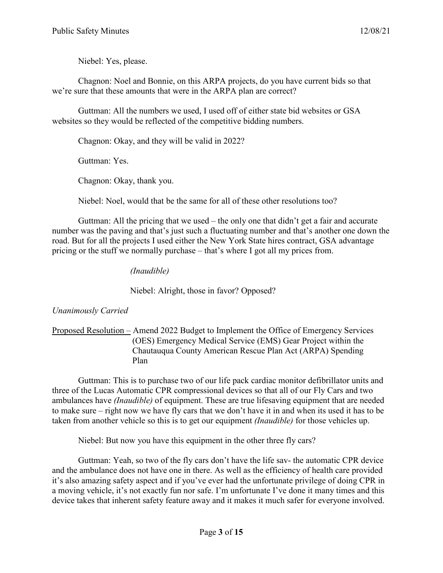Niebel: Yes, please.

Chagnon: Noel and Bonnie, on this ARPA projects, do you have current bids so that we're sure that these amounts that were in the ARPA plan are correct?

Guttman: All the numbers we used, I used off of either state bid websites or GSA websites so they would be reflected of the competitive bidding numbers.

Chagnon: Okay, and they will be valid in 2022?

Guttman: Yes.

Chagnon: Okay, thank you.

Niebel: Noel, would that be the same for all of these other resolutions too?

Guttman: All the pricing that we used – the only one that didn't get a fair and accurate number was the paving and that's just such a fluctuating number and that's another one down the road. But for all the projects I used either the New York State hires contract, GSA advantage pricing or the stuff we normally purchase – that's where I got all my prices from.

*(Inaudible)*

Niebel: Alright, those in favor? Opposed?

# *Unanimously Carried*

### Proposed Resolution – Amend 2022 Budget to Implement the Office of Emergency Services (OES) Emergency Medical Service (EMS) Gear Project within the Chautauqua County American Rescue Plan Act (ARPA) Spending Plan

Guttman: This is to purchase two of our life pack cardiac monitor defibrillator units and three of the Lucas Automatic CPR compressional devices so that all of our Fly Cars and two ambulances have *(Inaudible)* of equipment. These are true lifesaving equipment that are needed to make sure – right now we have fly cars that we don't have it in and when its used it has to be taken from another vehicle so this is to get our equipment *(Inaudible)* for those vehicles up.

Niebel: But now you have this equipment in the other three fly cars?

Guttman: Yeah, so two of the fly cars don't have the life sav- the automatic CPR device and the ambulance does not have one in there. As well as the efficiency of health care provided it's also amazing safety aspect and if you've ever had the unfortunate privilege of doing CPR in a moving vehicle, it's not exactly fun nor safe. I'm unfortunate I've done it many times and this device takes that inherent safety feature away and it makes it much safer for everyone involved.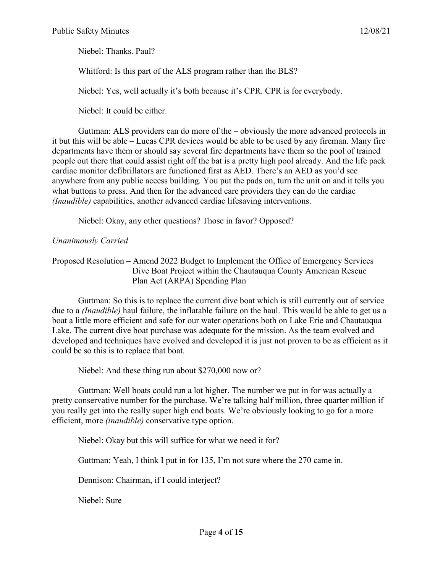Niebel: Thanks. Paul?

Whitford: Is this part of the ALS program rather than the BLS?

Niebel: Yes, well actually it's both because it's CPR. CPR is for everybody.

Niebel: It could be either.

Guttman: ALS providers can do more of the – obviously the more advanced protocols in it but this will be able – Lucas CPR devices would be able to be used by any fireman. Many fire departments have them or should say several fire departments have them so the pool of trained people out there that could assist right off the bat is a pretty high pool already. And the life pack cardiac monitor defibrillators are functioned first as AED. There's an AED as you'd see anywhere from any public access building. You put the pads on, turn the unit on and it tells you what buttons to press. And then for the advanced care providers they can do the cardiac *(Inaudible)* capabilities, another advanced cardiac lifesaving interventions.

Niebel: Okay, any other questions? Those in favor? Opposed?

## *Unanimously Carried*

Proposed Resolution – Amend 2022 Budget to Implement the Office of Emergency Services Dive Boat Project within the Chautauqua County American Rescue Plan Act (ARPA) Spending Plan

Guttman: So this is to replace the current dive boat which is still currently out of service due to a *(Inaudible)* haul failure, the inflatable failure on the haul. This would be able to get us a boat a little more efficient and safe for our water operations both on Lake Erie and Chautauqua Lake. The current dive boat purchase was adequate for the mission. As the team evolved and developed and techniques have evolved and developed it is just not proven to be as efficient as it could be so this is to replace that boat.

Niebel: And these thing run about \$270,000 now or?

Guttman: Well boats could run a lot higher. The number we put in for was actually a pretty conservative number for the purchase. We're talking half million, three quarter million if you really get into the really super high end boats. We're obviously looking to go for a more efficient, more *(inaudible)* conservative type option.

Niebel: Okay but this will suffice for what we need it for?

Guttman: Yeah, I think I put in for 135, I'm not sure where the 270 came in.

Dennison: Chairman, if I could interject?

Niebel: Sure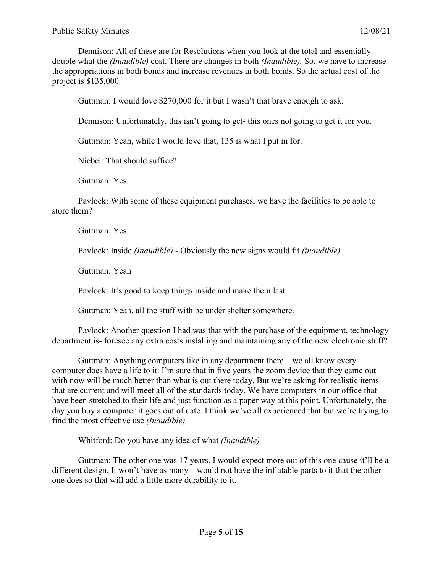Dennison: All of these are for Resolutions when you look at the total and essentially double what the *(Inaudible)* cost. There are changes in both *(Inaudible).* So, we have to increase the appropriations in both bonds and increase revenues in both bonds. So the actual cost of the project is \$135,000.

Guttman: I would love \$270,000 for it but I wasn't that brave enough to ask.

Dennison: Unfortunately, this isn't going to get- this ones not going to get it for you.

Guttman: Yeah, while I would love that, 135 is what I put in for.

Niebel: That should suffice?

Guttman: Yes.

Pavlock: With some of these equipment purchases, we have the facilities to be able to store them?

Guttman: Yes.

Pavlock: Inside *(Inaudible)* - Obviously the new signs would fit *(inaudible).* 

Guttman: Yeah

Pavlock: It's good to keep things inside and make them last.

Guttman: Yeah, all the stuff with be under shelter somewhere.

Pavlock: Another question I had was that with the purchase of the equipment, technology department is- foresee any extra costs installing and maintaining any of the new electronic stuff?

Guttman: Anything computers like in any department there – we all know every computer does have a life to it. I'm sure that in five years the zoom device that they came out with now will be much better than what is out there today. But we're asking for realistic items that are current and will meet all of the standards today. We have computers in our office that have been stretched to their life and just function as a paper way at this point. Unfortunately, the day you buy a computer it goes out of date. I think we've all experienced that but we're trying to find the most effective use *(Inaudible).* 

Whitford: Do you have any idea of what *(Inaudible)*

Guttman: The other one was 17 years. I would expect more out of this one cause it'll be a different design. It won't have as many – would not have the inflatable parts to it that the other one does so that will add a little more durability to it.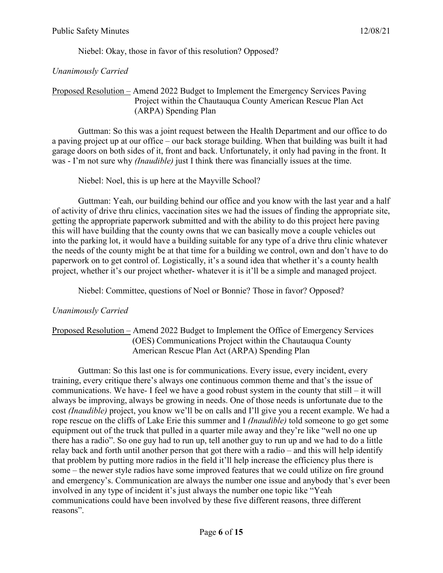Niebel: Okay, those in favor of this resolution? Opposed?

*Unanimously Carried* 

### Proposed Resolution – Amend 2022 Budget to Implement the Emergency Services Paving Project within the Chautauqua County American Rescue Plan Act (ARPA) Spending Plan

Guttman: So this was a joint request between the Health Department and our office to do a paving project up at our office – our back storage building. When that building was built it had garage doors on both sides of it, front and back. Unfortunately, it only had paving in the front. It was - I'm not sure why *(Inaudible)* just I think there was financially issues at the time.

Niebel: Noel, this is up here at the Mayville School?

Guttman: Yeah, our building behind our office and you know with the last year and a half of activity of drive thru clinics, vaccination sites we had the issues of finding the appropriate site, getting the appropriate paperwork submitted and with the ability to do this project here paving this will have building that the county owns that we can basically move a couple vehicles out into the parking lot, it would have a building suitable for any type of a drive thru clinic whatever the needs of the county might be at that time for a building we control, own and don't have to do paperwork on to get control of. Logistically, it's a sound idea that whether it's a county health project, whether it's our project whether- whatever it is it'll be a simple and managed project.

Niebel: Committee, questions of Noel or Bonnie? Those in favor? Opposed?

# *Unanimously Carried*

### Proposed Resolution – Amend 2022 Budget to Implement the Office of Emergency Services (OES) Communications Project within the Chautauqua County American Rescue Plan Act (ARPA) Spending Plan

Guttman: So this last one is for communications. Every issue, every incident, every training, every critique there's always one continuous common theme and that's the issue of communications. We have- I feel we have a good robust system in the county that still – it will always be improving, always be growing in needs. One of those needs is unfortunate due to the cost *(Inaudible)* project, you know we'll be on calls and I'll give you a recent example. We had a rope rescue on the cliffs of Lake Erie this summer and I *(Inaudible)* told someone to go get some equipment out of the truck that pulled in a quarter mile away and they're like "well no one up there has a radio". So one guy had to run up, tell another guy to run up and we had to do a little relay back and forth until another person that got there with a radio – and this will help identify that problem by putting more radios in the field it'll help increase the efficiency plus there is some – the newer style radios have some improved features that we could utilize on fire ground and emergency's. Communication are always the number one issue and anybody that's ever been involved in any type of incident it's just always the number one topic like "Yeah communications could have been involved by these five different reasons, three different reasons".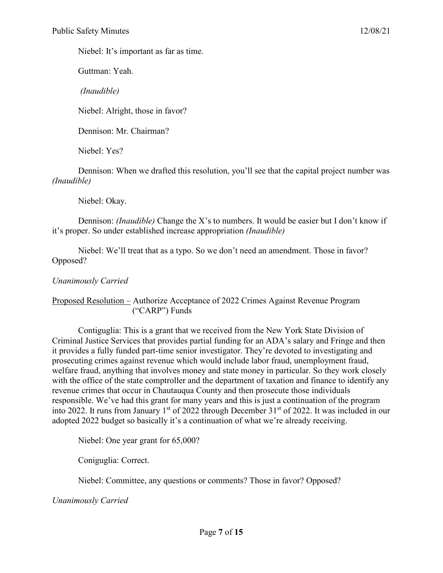Niebel: It's important as far as time.

Guttman: Yeah.

*(Inaudible)*

Niebel: Alright, those in favor?

Dennison: Mr. Chairman?

Niebel: Yes?

Dennison: When we drafted this resolution, you'll see that the capital project number was *(Inaudible)*

Niebel: Okay.

Dennison: *(Inaudible)* Change the X's to numbers. It would be easier but I don't know if it's proper. So under established increase appropriation *(Inaudible)* 

Niebel: We'll treat that as a typo. So we don't need an amendment. Those in favor? Opposed?

## *Unanimously Carried*

Proposed Resolution – Authorize Acceptance of 2022 Crimes Against Revenue Program ("CARP") Funds

Contiguglia: This is a grant that we received from the New York State Division of Criminal Justice Services that provides partial funding for an ADA's salary and Fringe and then it provides a fully funded part-time senior investigator. They're devoted to investigating and prosecuting crimes against revenue which would include labor fraud, unemployment fraud, welfare fraud, anything that involves money and state money in particular. So they work closely with the office of the state comptroller and the department of taxation and finance to identify any revenue crimes that occur in Chautauqua County and then prosecute those individuals responsible. We've had this grant for many years and this is just a continuation of the program into 2022. It runs from January 1<sup>st</sup> of 2022 through December  $31<sup>st</sup>$  of 2022. It was included in our adopted 2022 budget so basically it's a continuation of what we're already receiving.

Niebel: One year grant for 65,000?

Coniguglia: Correct.

Niebel: Committee, any questions or comments? Those in favor? Opposed?

*Unanimously Carried*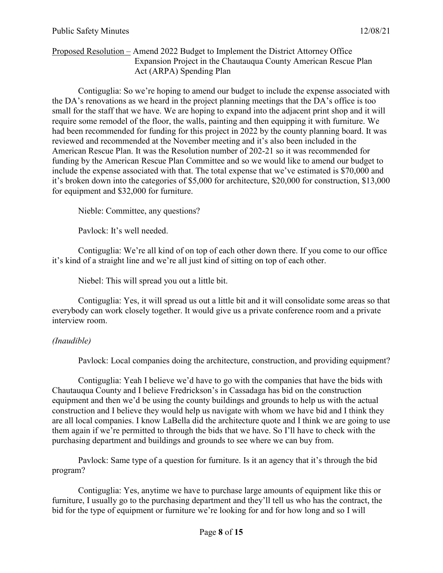### Proposed Resolution – Amend 2022 Budget to Implement the District Attorney Office Expansion Project in the Chautauqua County American Rescue Plan Act (ARPA) Spending Plan

Contiguglia: So we're hoping to amend our budget to include the expense associated with the DA's renovations as we heard in the project planning meetings that the DA's office is too small for the staff that we have. We are hoping to expand into the adjacent print shop and it will require some remodel of the floor, the walls, painting and then equipping it with furniture. We had been recommended for funding for this project in 2022 by the county planning board. It was reviewed and recommended at the November meeting and it's also been included in the American Rescue Plan. It was the Resolution number of 202-21 so it was recommended for funding by the American Rescue Plan Committee and so we would like to amend our budget to include the expense associated with that. The total expense that we've estimated is \$70,000 and it's broken down into the categories of \$5,000 for architecture, \$20,000 for construction, \$13,000 for equipment and \$32,000 for furniture.

Nieble: Committee, any questions?

Pavlock: It's well needed.

Contiguglia: We're all kind of on top of each other down there. If you come to our office it's kind of a straight line and we're all just kind of sitting on top of each other.

Niebel: This will spread you out a little bit.

Contiguglia: Yes, it will spread us out a little bit and it will consolidate some areas so that everybody can work closely together. It would give us a private conference room and a private interview room.

### *(Inaudible)*

Pavlock: Local companies doing the architecture, construction, and providing equipment?

Contiguglia: Yeah I believe we'd have to go with the companies that have the bids with Chautauqua County and I believe Fredrickson's in Cassadaga has bid on the construction equipment and then we'd be using the county buildings and grounds to help us with the actual construction and I believe they would help us navigate with whom we have bid and I think they are all local companies. I know LaBella did the architecture quote and I think we are going to use them again if we're permitted to through the bids that we have. So I'll have to check with the purchasing department and buildings and grounds to see where we can buy from.

Pavlock: Same type of a question for furniture. Is it an agency that it's through the bid program?

Contiguglia: Yes, anytime we have to purchase large amounts of equipment like this or furniture, I usually go to the purchasing department and they'll tell us who has the contract, the bid for the type of equipment or furniture we're looking for and for how long and so I will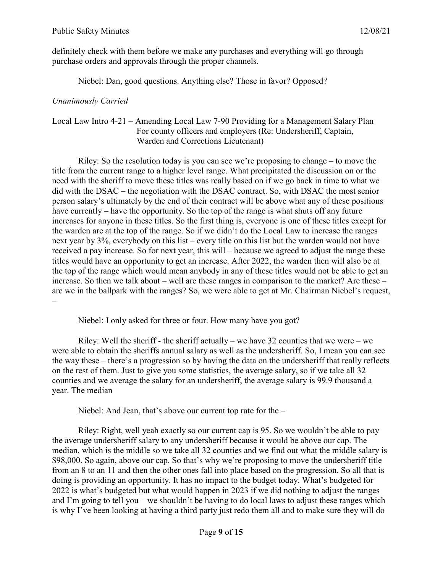definitely check with them before we make any purchases and everything will go through purchase orders and approvals through the proper channels.

Niebel: Dan, good questions. Anything else? Those in favor? Opposed?

### *Unanimously Carried*

### Local Law Intro 4-21 – Amending Local Law 7-90 Providing for a Management Salary Plan For county officers and employers (Re: Undersheriff, Captain, Warden and Corrections Lieutenant)

Riley: So the resolution today is you can see we're proposing to change – to move the title from the current range to a higher level range. What precipitated the discussion on or the need with the sheriff to move these titles was really based on if we go back in time to what we did with the DSAC – the negotiation with the DSAC contract. So, with DSAC the most senior person salary's ultimately by the end of their contract will be above what any of these positions have currently – have the opportunity. So the top of the range is what shuts off any future increases for anyone in these titles. So the first thing is, everyone is one of these titles except for the warden are at the top of the range. So if we didn't do the Local Law to increase the ranges next year by 3%, everybody on this list – every title on this list but the warden would not have received a pay increase. So for next year, this will – because we agreed to adjust the range these titles would have an opportunity to get an increase. After 2022, the warden then will also be at the top of the range which would mean anybody in any of these titles would not be able to get an increase. So then we talk about – well are these ranges in comparison to the market? Are these – are we in the ballpark with the ranges? So, we were able to get at Mr. Chairman Niebel's request, –

Niebel: I only asked for three or four. How many have you got?

Riley: Well the sheriff - the sheriff actually – we have 32 counties that we were – we were able to obtain the sheriffs annual salary as well as the undersheriff. So, I mean you can see the way these – there's a progression so by having the data on the undersheriff that really reflects on the rest of them. Just to give you some statistics, the average salary, so if we take all 32 counties and we average the salary for an undersheriff, the average salary is 99.9 thousand a year. The median –

Niebel: And Jean, that's above our current top rate for the –

Riley: Right, well yeah exactly so our current cap is 95. So we wouldn't be able to pay the average undersheriff salary to any undersheriff because it would be above our cap. The median, which is the middle so we take all 32 counties and we find out what the middle salary is \$98,000. So again, above our cap. So that's why we're proposing to move the undersheriff title from an 8 to an 11 and then the other ones fall into place based on the progression. So all that is doing is providing an opportunity. It has no impact to the budget today. What's budgeted for 2022 is what's budgeted but what would happen in 2023 if we did nothing to adjust the ranges and I'm going to tell you – we shouldn't be having to do local laws to adjust these ranges which is why I've been looking at having a third party just redo them all and to make sure they will do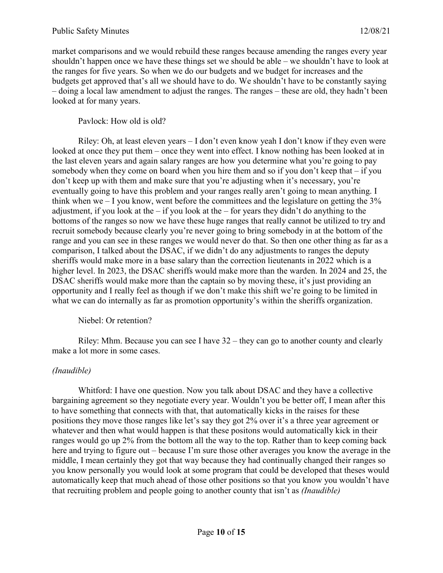market comparisons and we would rebuild these ranges because amending the ranges every year shouldn't happen once we have these things set we should be able – we shouldn't have to look at the ranges for five years. So when we do our budgets and we budget for increases and the budgets get approved that's all we should have to do. We shouldn't have to be constantly saying – doing a local law amendment to adjust the ranges. The ranges – these are old, they hadn't been looked at for many years.

### Pavlock: How old is old?

Riley: Oh, at least eleven years – I don't even know yeah I don't know if they even were looked at once they put them – once they went into effect. I know nothing has been looked at in the last eleven years and again salary ranges are how you determine what you're going to pay somebody when they come on board when you hire them and so if you don't keep that – if you don't keep up with them and make sure that you're adjusting when it's necessary, you're eventually going to have this problem and your ranges really aren't going to mean anything. I think when we  $-1$  you know, went before the committees and the legislature on getting the  $3\%$ adjustment, if you look at the – if you look at the – for years they didn't do anything to the bottoms of the ranges so now we have these huge ranges that really cannot be utilized to try and recruit somebody because clearly you're never going to bring somebody in at the bottom of the range and you can see in these ranges we would never do that. So then one other thing as far as a comparison, I talked about the DSAC, if we didn't do any adjustments to ranges the deputy sheriffs would make more in a base salary than the correction lieutenants in 2022 which is a higher level. In 2023, the DSAC sheriffs would make more than the warden. In 2024 and 25, the DSAC sheriffs would make more than the captain so by moving these, it's just providing an opportunity and I really feel as though if we don't make this shift we're going to be limited in what we can do internally as far as promotion opportunity's within the sheriffs organization.

### Niebel: Or retention?

Riley: Mhm. Because you can see I have 32 – they can go to another county and clearly make a lot more in some cases.

### *(Inaudible)*

Whitford: I have one question. Now you talk about DSAC and they have a collective bargaining agreement so they negotiate every year. Wouldn't you be better off, I mean after this to have something that connects with that, that automatically kicks in the raises for these positions they move those ranges like let's say they got 2% over it's a three year agreement or whatever and then what would happen is that these positons would automatically kick in their ranges would go up 2% from the bottom all the way to the top. Rather than to keep coming back here and trying to figure out – because I'm sure those other averages you know the average in the middle, I mean certainly they got that way because they had continually changed their ranges so you know personally you would look at some program that could be developed that theses would automatically keep that much ahead of those other positions so that you know you wouldn't have that recruiting problem and people going to another county that isn't as *(Inaudible)*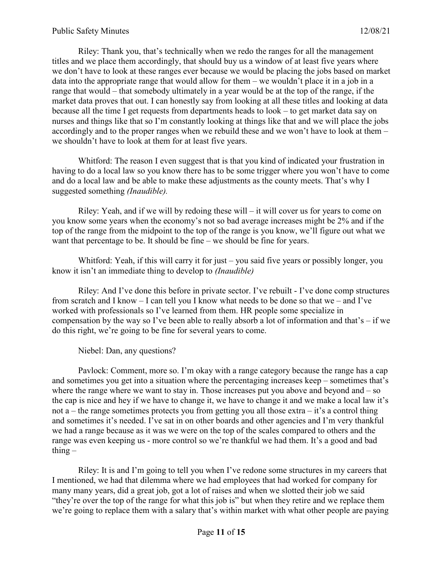Riley: Thank you, that's technically when we redo the ranges for all the management titles and we place them accordingly, that should buy us a window of at least five years where we don't have to look at these ranges ever because we would be placing the jobs based on market data into the appropriate range that would allow for them – we wouldn't place it in a job in a range that would – that somebody ultimately in a year would be at the top of the range, if the market data proves that out. I can honestly say from looking at all these titles and looking at data because all the time I get requests from departments heads to look – to get market data say on nurses and things like that so I'm constantly looking at things like that and we will place the jobs accordingly and to the proper ranges when we rebuild these and we won't have to look at them – we shouldn't have to look at them for at least five years.

Whitford: The reason I even suggest that is that you kind of indicated your frustration in having to do a local law so you know there has to be some trigger where you won't have to come and do a local law and be able to make these adjustments as the county meets. That's why I suggested something *(Inaudible).*

Riley: Yeah, and if we will by redoing these will  $-$  it will cover us for years to come on you know some years when the economy's not so bad average increases might be 2% and if the top of the range from the midpoint to the top of the range is you know, we'll figure out what we want that percentage to be. It should be fine – we should be fine for years.

Whitford: Yeah, if this will carry it for just – you said five years or possibly longer, you know it isn't an immediate thing to develop to *(Inaudible)*

Riley: And I've done this before in private sector. I've rebuilt - I've done comp structures from scratch and I know – I can tell you I know what needs to be done so that we – and I've worked with professionals so I've learned from them. HR people some specialize in compensation by the way so I've been able to really absorb a lot of information and that's – if we do this right, we're going to be fine for several years to come.

Niebel: Dan, any questions?

Pavlock: Comment, more so. I'm okay with a range category because the range has a cap and sometimes you get into a situation where the percentaging increases keep – sometimes that's where the range where we want to stay in. Those increases put you above and beyond and – so the cap is nice and hey if we have to change it, we have to change it and we make a local law it's not a – the range sometimes protects you from getting you all those extra – it's a control thing and sometimes it's needed. I've sat in on other boards and other agencies and I'm very thankful we had a range because as it was we were on the top of the scales compared to others and the range was even keeping us - more control so we're thankful we had them. It's a good and bad thing  $-$ 

Riley: It is and I'm going to tell you when I've redone some structures in my careers that I mentioned, we had that dilemma where we had employees that had worked for company for many many years, did a great job, got a lot of raises and when we slotted their job we said "they're over the top of the range for what this job is" but when they retire and we replace them we're going to replace them with a salary that's within market with what other people are paying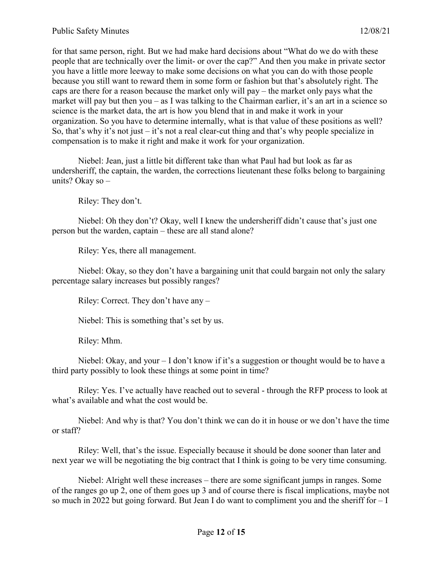for that same person, right. But we had make hard decisions about "What do we do with these people that are technically over the limit- or over the cap?" And then you make in private sector you have a little more leeway to make some decisions on what you can do with those people because you still want to reward them in some form or fashion but that's absolutely right. The caps are there for a reason because the market only will pay – the market only pays what the market will pay but then you – as I was talking to the Chairman earlier, it's an art in a science so science is the market data, the art is how you blend that in and make it work in your organization. So you have to determine internally, what is that value of these positions as well? So, that's why it's not just – it's not a real clear-cut thing and that's why people specialize in compensation is to make it right and make it work for your organization.

Niebel: Jean, just a little bit different take than what Paul had but look as far as undersheriff, the captain, the warden, the corrections lieutenant these folks belong to bargaining units? Okay so –

Riley: They don't.

Niebel: Oh they don't? Okay, well I knew the undersheriff didn't cause that's just one person but the warden, captain – these are all stand alone?

Riley: Yes, there all management.

Niebel: Okay, so they don't have a bargaining unit that could bargain not only the salary percentage salary increases but possibly ranges?

Riley: Correct. They don't have any –

Niebel: This is something that's set by us.

Riley: Mhm.

Niebel: Okay, and your – I don't know if it's a suggestion or thought would be to have a third party possibly to look these things at some point in time?

Riley: Yes. I've actually have reached out to several - through the RFP process to look at what's available and what the cost would be.

Niebel: And why is that? You don't think we can do it in house or we don't have the time or staff?

Riley: Well, that's the issue. Especially because it should be done sooner than later and next year we will be negotiating the big contract that I think is going to be very time consuming.

Niebel: Alright well these increases – there are some significant jumps in ranges. Some of the ranges go up 2, one of them goes up 3 and of course there is fiscal implications, maybe not so much in 2022 but going forward. But Jean I do want to compliment you and the sheriff for  $-1$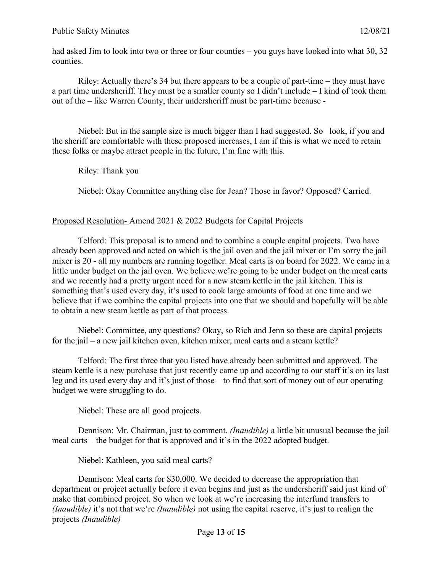had asked Jim to look into two or three or four counties – you guys have looked into what 30, 32 counties.

Riley: Actually there's 34 but there appears to be a couple of part-time – they must have a part time undersheriff. They must be a smaller county so I didn't include – I kind of took them out of the – like Warren County, their undersheriff must be part-time because -

Niebel: But in the sample size is much bigger than I had suggested. So look, if you and the sheriff are comfortable with these proposed increases, I am if this is what we need to retain these folks or maybe attract people in the future, I'm fine with this.

Riley: Thank you

Niebel: Okay Committee anything else for Jean? Those in favor? Opposed? Carried.

### Proposed Resolution- Amend 2021 & 2022 Budgets for Capital Projects

Telford: This proposal is to amend and to combine a couple capital projects. Two have already been approved and acted on which is the jail oven and the jail mixer or I'm sorry the jail mixer is 20 - all my numbers are running together. Meal carts is on board for 2022. We came in a little under budget on the jail oven. We believe we're going to be under budget on the meal carts and we recently had a pretty urgent need for a new steam kettle in the jail kitchen. This is something that's used every day, it's used to cook large amounts of food at one time and we believe that if we combine the capital projects into one that we should and hopefully will be able to obtain a new steam kettle as part of that process.

Niebel: Committee, any questions? Okay, so Rich and Jenn so these are capital projects for the jail – a new jail kitchen oven, kitchen mixer, meal carts and a steam kettle?

Telford: The first three that you listed have already been submitted and approved. The steam kettle is a new purchase that just recently came up and according to our staff it's on its last leg and its used every day and it's just of those – to find that sort of money out of our operating budget we were struggling to do.

Niebel: These are all good projects.

Dennison: Mr. Chairman, just to comment. *(Inaudible)* a little bit unusual because the jail meal carts – the budget for that is approved and it's in the 2022 adopted budget.

Niebel: Kathleen, you said meal carts?

Dennison: Meal carts for \$30,000. We decided to decrease the appropriation that department or project actually before it even begins and just as the undersheriff said just kind of make that combined project. So when we look at we're increasing the interfund transfers to *(Inaudible)* it's not that we're *(Inaudible)* not using the capital reserve, it's just to realign the projects *(Inaudible)*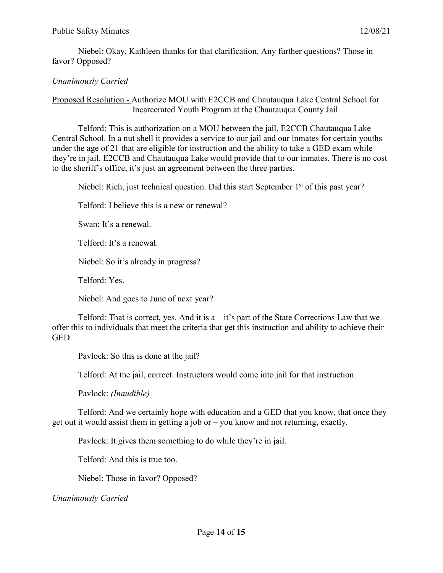Niebel: Okay, Kathleen thanks for that clarification. Any further questions? Those in favor? Opposed?

## *Unanimously Carried*

Proposed Resolution - Authorize MOU with E2CCB and Chautauqua Lake Central School for Incarcerated Youth Program at the Chautauqua County Jail

Telford: This is authorization on a MOU between the jail, E2CCB Chautauqua Lake Central School. In a nut shell it provides a service to our jail and our inmates for certain youths under the age of 21 that are eligible for instruction and the ability to take a GED exam while they're in jail. E2CCB and Chautauqua Lake would provide that to our inmates. There is no cost to the sheriff's office, it's just an agreement between the three parties.

Niebel: Rich, just technical question. Did this start September  $1<sup>st</sup>$  of this past year?

Telford: I believe this is a new or renewal?

Swan: It's a renewal.

Telford: It's a renewal.

Niebel: So it's already in progress?

Telford: Yes.

Niebel: And goes to June of next year?

Telford: That is correct, yes. And it is  $a - it$ 's part of the State Corrections Law that we offer this to individuals that meet the criteria that get this instruction and ability to achieve their GED.

Pavlock: So this is done at the jail?

Telford: At the jail, correct. Instructors would come into jail for that instruction.

Pavlock: *(Inaudible)*

Telford: And we certainly hope with education and a GED that you know, that once they get out it would assist them in getting a job or – you know and not returning, exactly.

Pavlock: It gives them something to do while they're in jail.

Telford: And this is true too.

Niebel: Those in favor? Opposed?

*Unanimously Carried*